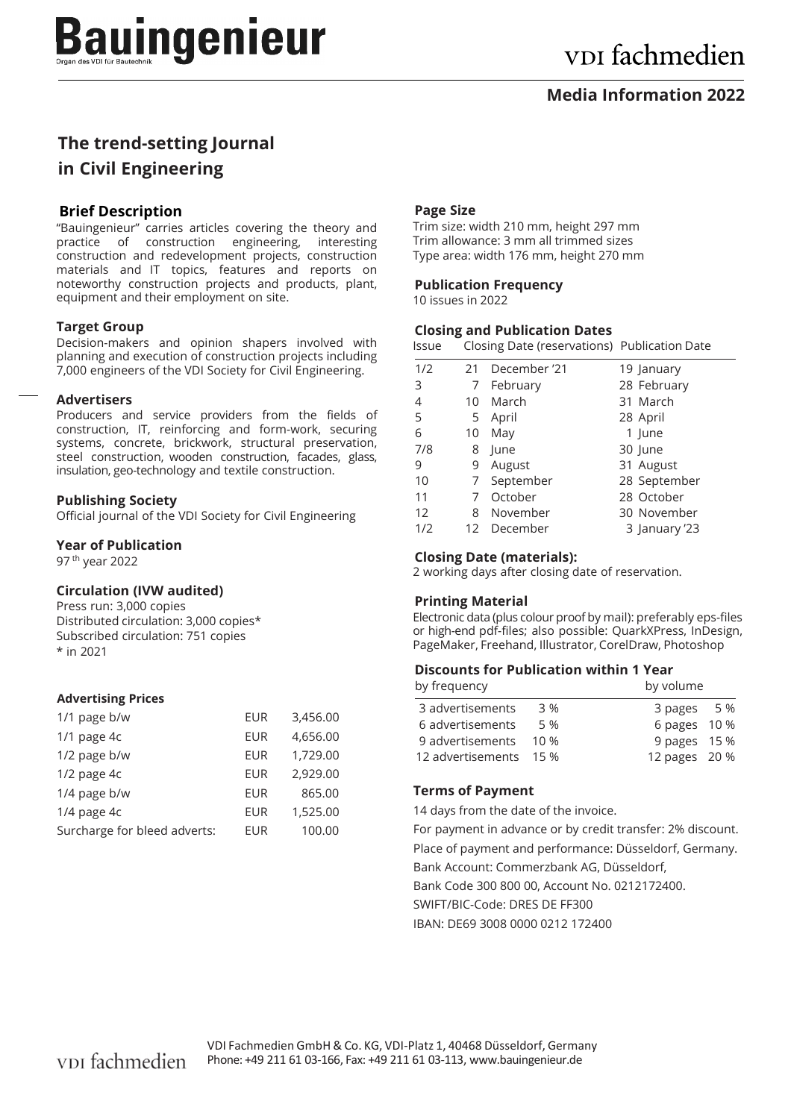### **Media Information 2022**

# **The trend-setting Journal in Civil Engineering**

#### **Brief Description**

"Bauingenieur" carries articles covering the theory and practice of construction engineering, interesting construction and redevelopment projects, construction materials and IT topics, features and reports on noteworthy construction projects and products, plant, equipment and their employment on site.

#### **Target Group**

Decision-makers and opinion shapers involved with planning and execution of construction projects including 7,000 engineers of the VDI Society for Civil Engineering.

#### **Advertisers**

Producers and service providers from the fields of construction, IT, reinforcing and form-work, securing systems, concrete, brickwork, structural preservation, steel construction, wooden construction, facades, glass, insulation, geo-technology and textile construction.

#### **Publishing Society**

Official journal of the VDI Society for Civil Engineering

#### **Year of Publication**

97 th year 2022

#### **Circulation (IVW audited)**

Press run: 3,000 copies Distributed circulation: 3,000 copies\* Subscribed circulation: 751 copies \* in 2021

#### **Advertising Prices**

| 1/1 page b/w                 | EUR        | 3,456.00 |
|------------------------------|------------|----------|
| $1/1$ page 4c                | <b>EUR</b> | 4,656.00 |
| 1/2 page b/w                 | EUR        | 1,729.00 |
| 1/2 page 4c                  | EUR        | 2.929.00 |
| 1/4 page b/w                 | <b>EUR</b> | 865.00   |
| 1/4 page 4c                  | EUR        | 1,525.00 |
| Surcharge for bleed adverts: | FUR        | 100.00   |

#### **Page Size**

Trim size: width 210 mm, height 297 mm Trim allowance: 3 mm all trimmed sizes Type area: width 176 mm, height 270 mm

#### **Publication Frequency**

10 issues in 2022

#### **Closing and Publication Dates**

Issue Closing Date (reservations) Publication Date

| 1/2 | 21 | December '21 | 19 January    |
|-----|----|--------------|---------------|
| 3   | 7  | February     | 28 February   |
| 4   | 10 | March        | 31 March      |
| 5   | 5  | April        | 28 April      |
| 6   | 10 | May          | 1 June        |
| 7/8 | 8  | lune         | 30 June       |
| 9   | 9  | August       | 31 August     |
| 10  |    | 7 September  | 28 September  |
| 11  |    | October      | 28 October    |
| 12  | 8  | November     | 30 November   |
| 1/2 |    | 12 December  | 3 January '23 |

#### **Closing Date (materials):**

2 working days after closing date of reservation.

#### **Printing Material**

Electronic data (plus colour proof by mail): preferably eps-files or high-end pdf-files; also possible: QuarkXPress, InDesign, PageMaker, Freehand, Illustrator, CorelDraw, Photoshop

#### **Discounts for Publication within 1 Year**

| by frequency           | by volume |               |
|------------------------|-----------|---------------|
| 3 advertisements       | 3 %       | 3 pages 5 %   |
| 6 advertisements       | 5 %       | 6 pages 10 %  |
| 9 advertisements       | 10 %      | 9 pages 15 %  |
| 12 advertisements 15 % |           | 12 pages 20 % |

#### **Terms of Payment**

14 days from the date of the invoice.

For payment in advance or by credit transfer: 2% discount. Place of payment and performance: Düsseldorf, Germany. Bank Account: Commerzbank AG, Düsseldorf, Bank Code 300 800 00, Account No. 0212172400. SWIFT/BIC-Code: DRES DE FF300 IBAN: DE69 3008 0000 0212 172400